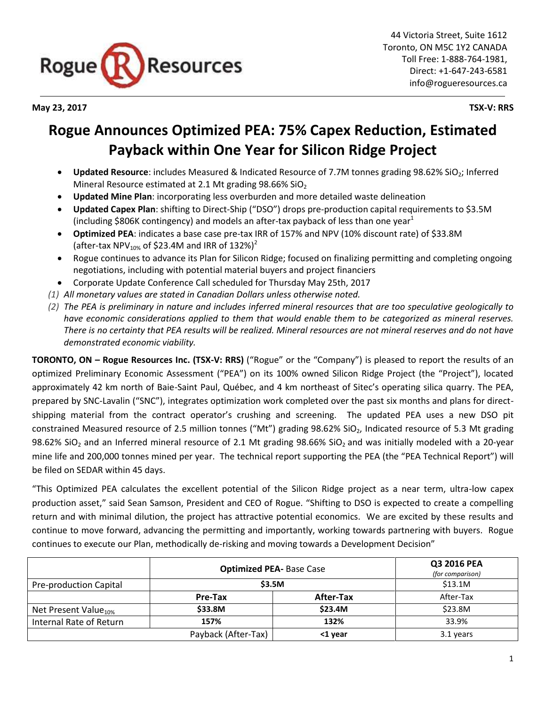

**May 23, 2017 TSX-V: RRS**

# **Rogue Announces Optimized PEA: 75% Capex Reduction, Estimated Payback within One Year for Silicon Ridge Project**

- Updated Resource: includes Measured & Indicated Resource of 7.7M tonnes grading 98.62% SiO<sub>2</sub>; Inferred Mineral Resource estimated at 2.1 Mt grading  $98.66\%$  SiO<sub>2</sub>
- **Updated Mine Plan**: incorporating less overburden and more detailed waste delineation
- **Updated Capex Plan**: shifting to Direct-Ship ("DSO") drops pre-production capital requirements to \$3.5M (including \$806K contingency) and models an after-tax payback of less than one year<sup>1</sup>
- **Optimized PEA**: indicates a base case pre-tax IRR of 157% and NPV (10% discount rate) of \$33.8M (after-tax NPV $_{10\%}$  of \$23.4M and IRR of 132%)<sup>2</sup>
- Rogue continues to advance its Plan for Silicon Ridge; focused on finalizing permitting and completing ongoing negotiations, including with potential material buyers and project financiers
- Corporate Update Conference Call scheduled for Thursday May 25th, 2017
- *(1) All monetary values are stated in Canadian Dollars unless otherwise noted.*
- *(2) The PEA is preliminary in nature and includes inferred mineral resources that are too speculative geologically to have economic considerations applied to them that would enable them to be categorized as mineral reserves. There is no certainty that PEA results will be realized. Mineral resources are not mineral reserves and do not have demonstrated economic viability.*

**TORONTO, ON – Rogue Resources Inc. (TSX-V: RRS)** ("Rogue" or the "Company") is pleased to report the results of an optimized Preliminary Economic Assessment ("PEA") on its 100% owned Silicon Ridge Project (the "Project"), located approximately 42 km north of Baie-Saint Paul, Québec, and 4 km northeast of Sitec's operating silica quarry. The PEA, prepared by SNC-Lavalin ("SNC"), integrates optimization work completed over the past six months and plans for directshipping material from the contract operator's crushing and screening. The updated PEA uses a new DSO pit constrained Measured resource of 2.5 million tonnes ("Mt") grading 98.62% SiO<sub>2</sub>, Indicated resource of 5.3 Mt grading 98.62% SiO<sub>2</sub> and an Inferred mineral resource of 2.1 Mt grading 98.66% SiO<sub>2</sub> and was initially modeled with a 20-year mine life and 200,000 tonnes mined per year. The technical report supporting the PEA (the "PEA Technical Report") will be filed on SEDAR within 45 days.

"This Optimized PEA calculates the excellent potential of the Silicon Ridge project as a near term, ultra-low capex production asset," said Sean Samson, President and CEO of Rogue. "Shifting to DSO is expected to create a compelling return and with minimal dilution, the project has attractive potential economics. We are excited by these results and continue to move forward, advancing the permitting and importantly, working towards partnering with buyers. Rogue continues to execute our Plan, methodically de-risking and moving towards a Development Decision"

|                                  | <b>Optimized PEA- Base Case</b> |           | Q3 2016 PEA<br>(for comparison) |
|----------------------------------|---------------------------------|-----------|---------------------------------|
| Pre-production Capital           | \$3.5M                          |           | \$13.1M                         |
|                                  | Pre-Tax                         | After-Tax | After-Tax                       |
| Net Present Value <sub>10%</sub> | \$33.8M                         | \$23.4M   | \$23.8M                         |
| Internal Rate of Return          | 157%                            | 132%      | 33.9%                           |
|                                  | Payback (After-Tax)             | <1 year   | 3.1 years                       |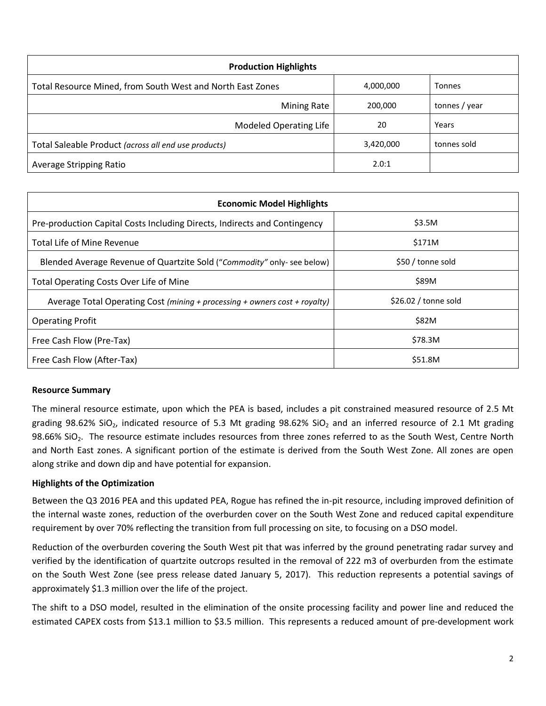| <b>Production Highlights</b>                               |           |               |  |  |  |
|------------------------------------------------------------|-----------|---------------|--|--|--|
| Total Resource Mined, from South West and North East Zones | 4,000,000 | Tonnes        |  |  |  |
| <b>Mining Rate</b>                                         | 200,000   | tonnes / year |  |  |  |
| <b>Modeled Operating Life</b>                              | 20        | Years         |  |  |  |
| Total Saleable Product (across all end use products)       | 3,420,000 | tonnes sold   |  |  |  |
| Average Stripping Ratio                                    | 2.0:1     |               |  |  |  |

| <b>Economic Model Highlights</b>                                           |                       |  |  |  |
|----------------------------------------------------------------------------|-----------------------|--|--|--|
| Pre-production Capital Costs Including Directs, Indirects and Contingency  | \$3.5M                |  |  |  |
| Total Life of Mine Revenue                                                 | \$171M                |  |  |  |
| Blended Average Revenue of Quartzite Sold ("Commodity" only- see below)    | \$50 / tonne sold     |  |  |  |
| Total Operating Costs Over Life of Mine                                    | \$89M                 |  |  |  |
| Average Total Operating Cost (mining + processing + owners cost + royalty) | $$26.02$ / tonne sold |  |  |  |
| <b>Operating Profit</b>                                                    | <b>\$82M</b>          |  |  |  |
| Free Cash Flow (Pre-Tax)                                                   | \$78.3M               |  |  |  |
| Free Cash Flow (After-Tax)                                                 | \$51.8M               |  |  |  |

## **Resource Summary**

The mineral resource estimate, upon which the PEA is based, includes a pit constrained measured resource of 2.5 Mt grading 98.62% SiO<sub>2</sub>, indicated resource of 5.3 Mt grading 98.62% SiO<sub>2</sub> and an inferred resource of 2.1 Mt grading 98.66% SiO<sub>2</sub>. The resource estimate includes resources from three zones referred to as the South West, Centre North and North East zones. A significant portion of the estimate is derived from the South West Zone. All zones are open along strike and down dip and have potential for expansion.

## **Highlights of the Optimization**

Between the Q3 2016 PEA and this updated PEA, Rogue has refined the in-pit resource, including improved definition of the internal waste zones, reduction of the overburden cover on the South West Zone and reduced capital expenditure requirement by over 70% reflecting the transition from full processing on site, to focusing on a DSO model.

Reduction of the overburden covering the South West pit that was inferred by the ground penetrating radar survey and verified by the identification of quartzite outcrops resulted in the removal of 222 m3 of overburden from the estimate on the South West Zone (see press release dated January 5, 2017). This reduction represents a potential savings of approximately \$1.3 million over the life of the project.

The shift to a DSO model, resulted in the elimination of the onsite processing facility and power line and reduced the estimated CAPEX costs from \$13.1 million to \$3.5 million. This represents a reduced amount of pre-development work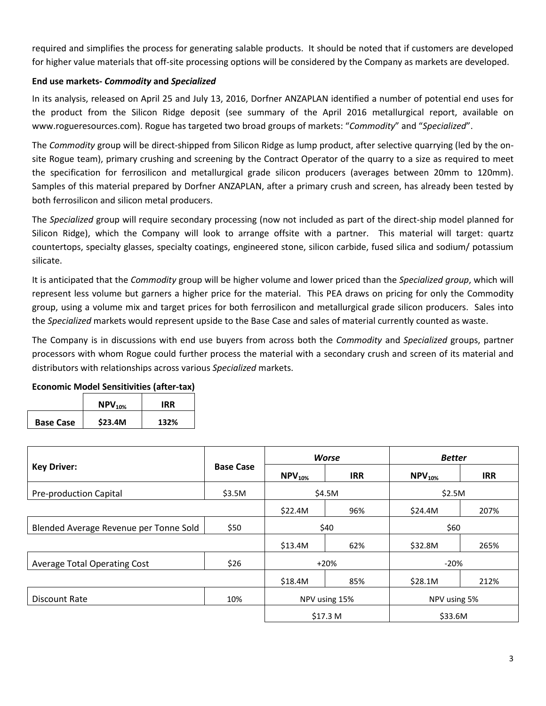required and simplifies the process for generating salable products. It should be noted that if customers are developed for higher value materials that off-site processing options will be considered by the Company as markets are developed.

## **End use markets-** *Commodity* **and** *Specialized*

In its analysis, released on April 25 and July 13, 2016, Dorfner ANZAPLAN identified a number of potential end uses for the product from the Silicon Ridge deposit (see summary of the April 2016 metallurgical report, available on www.rogueresources.com). Rogue has targeted two broad groups of markets: "*Commodity*" and "*Specialized*".

The *Commodity* group will be direct-shipped from Silicon Ridge as lump product, after selective quarrying (led by the onsite Rogue team), primary crushing and screening by the Contract Operator of the quarry to a size as required to meet the specification for ferrosilicon and metallurgical grade silicon producers (averages between 20mm to 120mm). Samples of this material prepared by Dorfner ANZAPLAN, after a primary crush and screen, has already been tested by both ferrosilicon and silicon metal producers.

The *Specialized* group will require secondary processing (now not included as part of the direct-ship model planned for Silicon Ridge), which the Company will look to arrange offsite with a partner. This material will target: quartz countertops, specialty glasses, specialty coatings, engineered stone, silicon carbide, fused silica and sodium/ potassium silicate.

It is anticipated that the *Commodity* group will be higher volume and lower priced than the *Specialized group*, which will represent less volume but garners a higher price for the material. This PEA draws on pricing for only the Commodity group, using a volume mix and target prices for both ferrosilicon and metallurgical grade silicon producers. Sales into the *Specialized* markets would represent upside to the Base Case and sales of material currently counted as waste.

The Company is in discussions with end use buyers from across both the *Commodity* and *Specialized* groups, partner processors with whom Rogue could further process the material with a secondary crush and screen of its material and distributors with relationships across various *Specialized* markets.

| LCONONING IVIOQUI JUNISIGIVIGUS (QIGUI GAA) |                       |      |  |
|---------------------------------------------|-----------------------|------|--|
|                                             | $\mathsf{NPV}_{10\%}$ | IRR  |  |
| <b>Base Case</b>                            | \$23.4M               | 132% |  |
|                                             |                       |      |  |

**Economic Model Sensitivities (after-tax)**

|                                        | <b>Base Case</b> | <b>Worse</b>  |            | <b>Better</b> |            |
|----------------------------------------|------------------|---------------|------------|---------------|------------|
| <b>Key Driver:</b>                     |                  | $NPV10%$      | <b>IRR</b> | $NPV10%$      | <b>IRR</b> |
| <b>Pre-production Capital</b>          | \$3.5M           | \$4.5M        |            | \$2.5M        |            |
|                                        |                  | \$22.4M       | 96%        | \$24.4M       | 207%       |
| Blended Average Revenue per Tonne Sold | \$50             | \$40          |            | \$60          |            |
|                                        |                  | \$13.4M       | 62%        | \$32.8M       | 265%       |
| <b>Average Total Operating Cost</b>    | \$26             | $+20%$        |            | $-20%$        |            |
|                                        |                  | \$18.4M       | 85%        | \$28.1M       | 212%       |
| Discount Rate                          | 10%              | NPV using 15% |            | NPV using 5%  |            |
|                                        |                  | \$17.3 M      |            | \$33.6M       |            |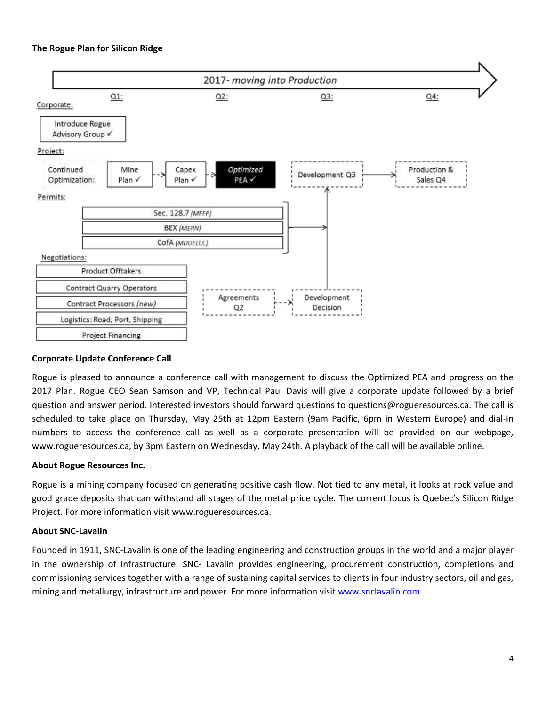

### **Corporate Update Conference Call**

Rogue is pleased to announce a conference call with management to discuss the Optimized PEA and progress on the 2017 Plan. Rogue CEO Sean Samson and VP, Technical Paul Davis will give a corporate update followed by a brief question and answer period. Interested investors should forward questions to questions@rogueresources.ca. The call is scheduled to take place on Thursday, May 25th at 12pm Eastern (9am Pacific, 6pm in Western Europe) and dial-in numbers to access the conference call as well as a corporate presentation will be provided on our webpage, www.rogueresources.ca, by 3pm Eastern on Wednesday, May 24th. A playback of the call will be available online.

### **About Rogue Resources Inc.**

Rogue is a mining company focused on generating positive cash flow. Not tied to any metal, it looks at rock value and good grade deposits that can withstand all stages of the metal price cycle. The current focus is Quebec's Silicon Ridge Project. For more information visit [www.rogueresources.ca.](http://www.rogueresources.ca/)

#### **About SNC-Lavalin**

Founded in 1911, SNC-Lavalin is one of the leading engineering and construction groups in the world and a major player in the ownership of infrastructure. SNC- Lavalin provides engineering, procurement construction, completions and commissioning services together with a range of sustaining capital services to clients in four industry sectors, oil and gas, mining and metallurgy, infrastructure and power. For more information visit [www.snclavalin.com](http://www.snclavalin.com/)